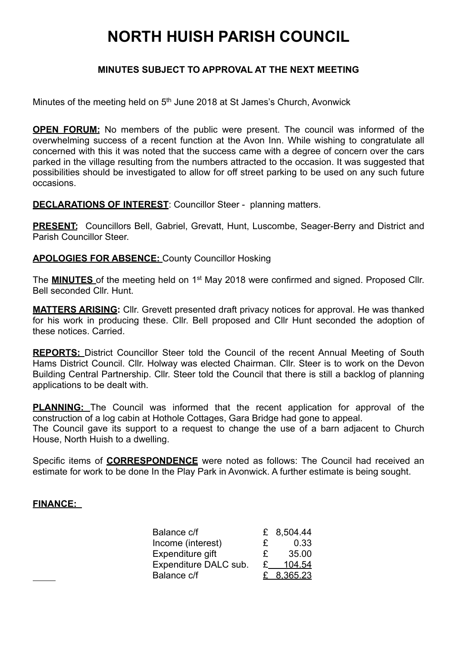## **NORTH HUISH PARISH COUNCIL**

## **MINUTES SUBJECT TO APPROVAL AT THE NEXT MEETING**

Minutes of the meeting held on 5<sup>th</sup> June 2018 at St James's Church, Avonwick

**OPEN FORUM:** No members of the public were present. The council was informed of the overwhelming success of a recent function at the Avon Inn. While wishing to congratulate all concerned with this it was noted that the success came with a degree of concern over the cars parked in the village resulting from the numbers attracted to the occasion. It was suggested that possibilities should be investigated to allow for off street parking to be used on any such future occasions.

**DECLARATIONS OF INTEREST**: Councillor Steer - planning matters.

**PRESENT:** Councillors Bell, Gabriel, Grevatt, Hunt, Luscombe, Seager-Berry and District and Parish Councillor Steer.

**APOLOGIES FOR ABSENCE:** County Councillor Hosking

The **MINUTES** of the meeting held on 1st May 2018 were confirmed and signed. Proposed Cllr. Bell seconded Cllr. Hunt.

**MATTERS ARISING:** Cllr. Grevett presented draft privacy notices for approval. He was thanked for his work in producing these. Cllr. Bell proposed and Cllr Hunt seconded the adoption of these notices. Carried.

**REPORTS:** District Councillor Steer told the Council of the recent Annual Meeting of South Hams District Council. Cllr. Holway was elected Chairman. Cllr. Steer is to work on the Devon Building Central Partnership. Cllr. Steer told the Council that there is still a backlog of planning applications to be dealt with.

**PLANNING:** The Council was informed that the recent application for approval of the construction of a log cabin at Hothole Cottages, Gara Bridge had gone to appeal. The Council gave its support to a request to change the use of a barn adjacent to Church House, North Huish to a dwelling.

Specific items of **CORRESPONDENCE** were noted as follows: The Council had received an estimate for work to be done In the Play Park in Avonwick. A further estimate is being sought.

## **FINANCE:**

 $\overline{a}$ 

| Balance c/f           |   | £ 8,504.44 |
|-----------------------|---|------------|
| Income (interest)     | £ | 0.33       |
| Expenditure gift      | £ | 35.00      |
| Expenditure DALC sub. |   | 104.54     |
| Balance c/f           |   | £ 8,365.23 |